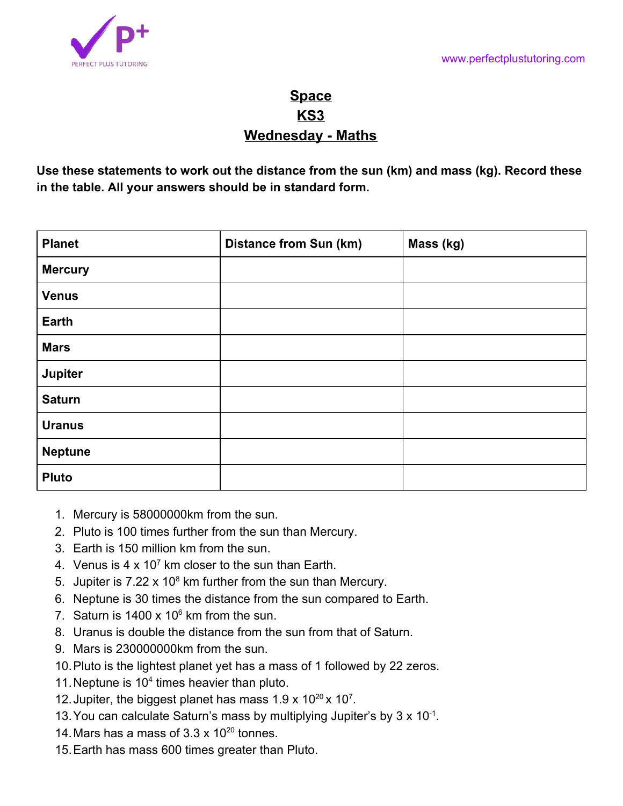

## **Space KS3 Wednesday - Maths**

**Use these statements to work out the distance from the sun (km) and mass (kg). Record these in the table. All your answers should be in standard form.**

| <b>Planet</b>  | <b>Distance from Sun (km)</b> | Mass (kg) |
|----------------|-------------------------------|-----------|
| <b>Mercury</b> |                               |           |
| <b>Venus</b>   |                               |           |
| <b>Earth</b>   |                               |           |
| <b>Mars</b>    |                               |           |
| Jupiter        |                               |           |
| <b>Saturn</b>  |                               |           |
| <b>Uranus</b>  |                               |           |
| <b>Neptune</b> |                               |           |
| <b>Pluto</b>   |                               |           |

- 1. Mercury is 58000000km from the sun.
- 2. Pluto is 100 times further from the sun than Mercury.
- 3. Earth is 150 million km from the sun.
- 4. Venus is 4  $\times$  10<sup>7</sup> km closer to the sun than Earth.
- 5. Jupiter is  $7.22 \times 10^8$  km further from the sun than Mercury.
- 6. Neptune is 30 times the distance from the sun compared to Earth.
- 7. Saturn is  $1400 \times 10^6$  km from the sun.
- 8. Uranus is double the distance from the sun from that of Saturn.
- 9. Mars is 230000000km from the sun.
- 10.Pluto is the lightest planet yet has a mass of 1 followed by 22 zeros.
- 11. Neptune is  $10<sup>4</sup>$  times heavier than pluto.
- 12. Jupiter, the biggest planet has mass  $1.9 \times 10^{20} \times 10^7$ .
- 13.You can calculate Saturn's mass by multiplying Jupiter's by 3 x 10-1 .
- 14. Mars has a mass of  $3.3 \times 10^{20}$  tonnes.
- 15.Earth has mass 600 times greater than Pluto.